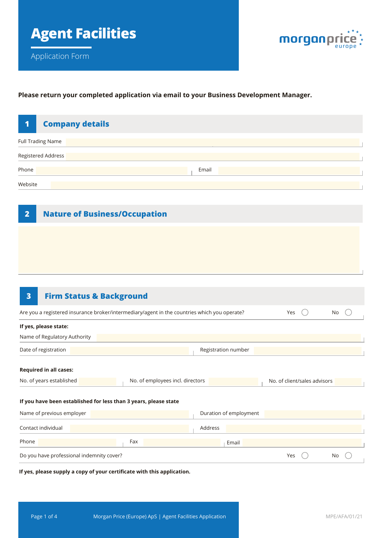

# **Please return your completed application via email to your Business Development Manager.**

| <b>Company details</b><br>1                                      |                                                                                              |                              |    |
|------------------------------------------------------------------|----------------------------------------------------------------------------------------------|------------------------------|----|
| <b>Full Trading Name</b>                                         |                                                                                              |                              |    |
| Registered Address                                               |                                                                                              |                              |    |
| Phone                                                            | Email                                                                                        |                              |    |
| Website                                                          |                                                                                              |                              |    |
| <b>Nature of Business/Occupation</b><br>$\overline{\mathbf{2}}$  |                                                                                              |                              |    |
|                                                                  |                                                                                              |                              |    |
|                                                                  |                                                                                              |                              |    |
|                                                                  |                                                                                              |                              |    |
|                                                                  |                                                                                              |                              |    |
| $\overline{\mathbf{3}}$<br><b>Firm Status &amp; Background</b>   |                                                                                              |                              |    |
|                                                                  | Are you a registered insurance broker/intermediary/agent in the countries which you operate? | Yes                          | No |
| If yes, please state:                                            |                                                                                              |                              |    |
| Name of Regulatory Authority                                     |                                                                                              |                              |    |
| Date of registration                                             | Registration number                                                                          |                              |    |
| <b>Required in all cases:</b>                                    |                                                                                              |                              |    |
| No. of years established                                         | No. of employees incl. directors                                                             | No. of client/sales advisors |    |
| If you have been established for less than 3 years, please state |                                                                                              |                              |    |

| Name of previous employer                 |     | Duration of employment |     |    |
|-------------------------------------------|-----|------------------------|-----|----|
| Contact individual                        |     | Address                |     |    |
| Phone                                     | Fax | Email                  |     |    |
| Do you have professional indemnity cover? |     |                        | Yes | No |

**If yes, please supply a copy of your certificate with this application.**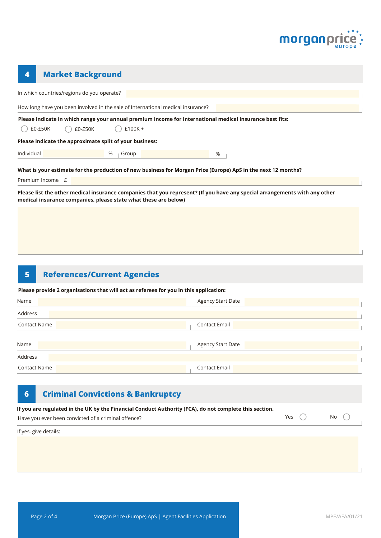

| 4          |                  | <b>Market Background</b>                                |   |           |                                                                                 |                                                                                                                            |
|------------|------------------|---------------------------------------------------------|---|-----------|---------------------------------------------------------------------------------|----------------------------------------------------------------------------------------------------------------------------|
|            |                  | In which countries/regions do you operate?              |   |           |                                                                                 |                                                                                                                            |
|            |                  |                                                         |   |           | How long have you been involved in the sale of International medical insurance? |                                                                                                                            |
|            |                  |                                                         |   |           |                                                                                 | Please indicate in which range your annual premium income for international medical insurance best fits:                   |
|            | £0-£50K          | $£0-E50K$                                               |   | $£100K +$ |                                                                                 |                                                                                                                            |
|            |                  | Please indicate the approximate split of your business: |   |           |                                                                                 |                                                                                                                            |
| Individual |                  |                                                         | % | Group     |                                                                                 | %                                                                                                                          |
|            |                  |                                                         |   |           |                                                                                 | What is your estimate for the production of new business for Morgan Price (Europe) ApS in the next 12 months?              |
|            | Premium Income £ |                                                         |   |           |                                                                                 |                                                                                                                            |
|            |                  |                                                         |   |           | medical insurance companies, please state what these are below)                 | Please list the other medical insurance companies that you represent? (If you have any special arrangements with any other |

#### **5 References/Current Agencies**

**Please provide 2 organisations that will act as referees for you in this application:**

| Name                | <b>Agency Start Date</b> |
|---------------------|--------------------------|
| Address             |                          |
| <b>Contact Name</b> | <b>Contact Email</b>     |
| Name                | Agency Start Date        |
| Address             |                          |
| <b>Contact Name</b> | Contact Email            |

| $\overline{6}$ | <b>Criminal Convictions &amp; Bankruptcy</b>                                                                                                                  |     |      |
|----------------|---------------------------------------------------------------------------------------------------------------------------------------------------------------|-----|------|
|                | If you are regulated in the UK by the Financial Conduct Authority (FCA), do not complete this section.<br>Have you ever been convicted of a criminal offence? | Yes | No l |
|                | If yes, give details:                                                                                                                                         |     |      |
|                |                                                                                                                                                               |     |      |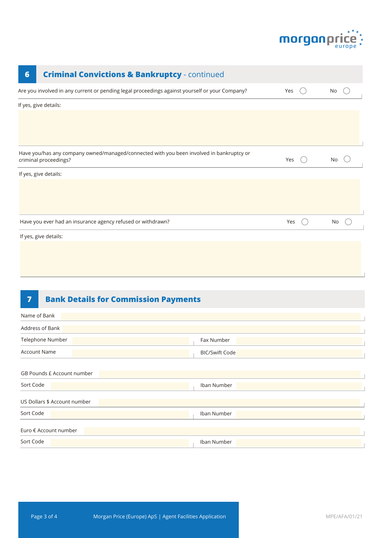

| $6\phantom{1}6$                                                                                                                | <b>Criminal Convictions &amp; Bankruptcy - continued</b>                                       |     |    |  |  |
|--------------------------------------------------------------------------------------------------------------------------------|------------------------------------------------------------------------------------------------|-----|----|--|--|
|                                                                                                                                | Are you involved in any current or pending legal proceedings against yourself or your Company? | Yes | No |  |  |
|                                                                                                                                | If yes, give details:                                                                          |     |    |  |  |
|                                                                                                                                |                                                                                                |     |    |  |  |
|                                                                                                                                |                                                                                                |     |    |  |  |
| Have you/has any company owned/managed/connected with you been involved in bankruptcy or<br>criminal proceedings?<br>Yes<br>No |                                                                                                |     |    |  |  |
|                                                                                                                                | If yes, give details:                                                                          |     |    |  |  |
|                                                                                                                                |                                                                                                |     |    |  |  |
|                                                                                                                                |                                                                                                |     |    |  |  |
|                                                                                                                                | Have you ever had an insurance agency refused or withdrawn?                                    | Yes | No |  |  |
|                                                                                                                                | If yes, give details:                                                                          |     |    |  |  |
|                                                                                                                                |                                                                                                |     |    |  |  |

### **7 Bank Details for Commission Payments**

| Name of Bank                 |                       |
|------------------------------|-----------------------|
| Address of Bank              |                       |
| Telephone Number             | Fax Number            |
| <b>Account Name</b>          | <b>BIC/Swift Code</b> |
| GB Pounds £ Account number   |                       |
| Sort Code                    | Iban Number           |
| US Dollars \$ Account number |                       |
| Sort Code                    | Iban Number           |
| Euro € Account number        |                       |
| Sort Code                    | Iban Number           |